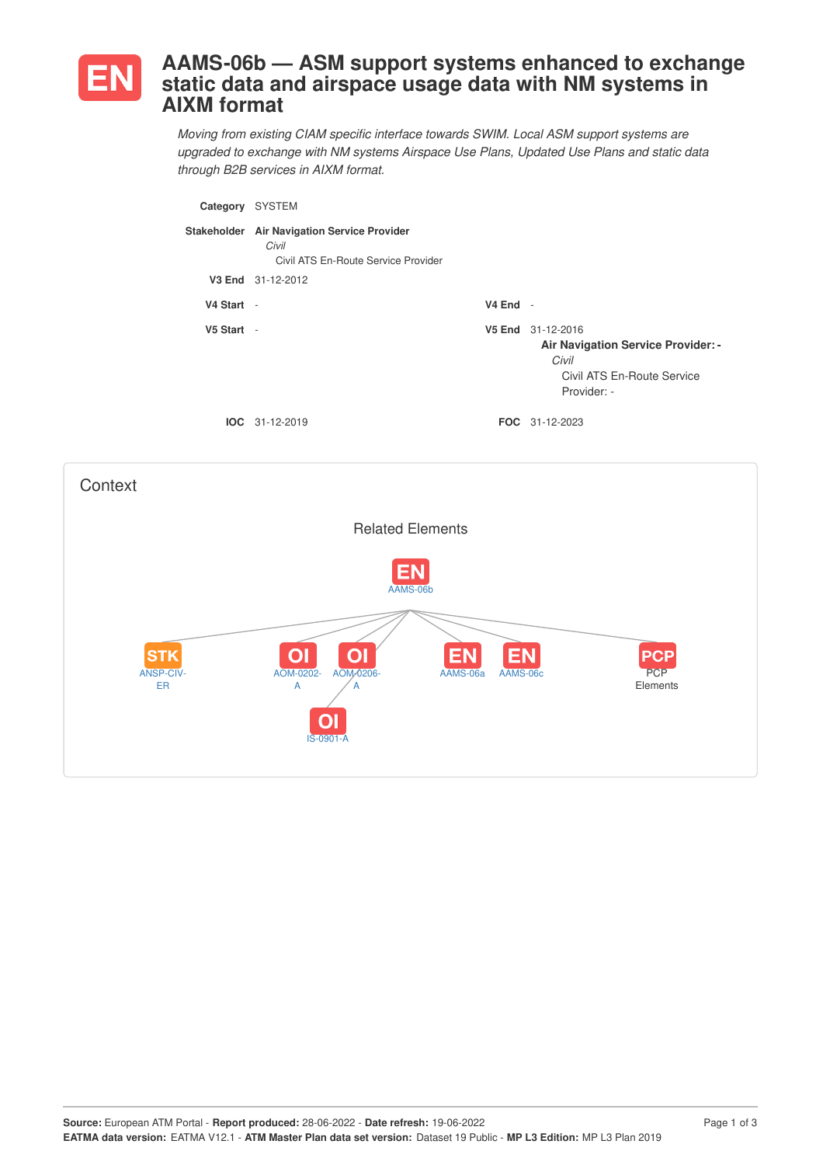

## **AAMS-06b — ASM support systems enhanced to exchange static data and airspace usage data with NM systems in AIXM format**

*Moving from existing CIAM specific interface towards SWIM. Local ASM support systems are upgraded to exchange with NM systems Airspace Use Plans, Updated Use Plans and static data through B2B services in AIXM format.*

| Category   | <b>SYSTEM</b>                                                                               |            |                                                                                                                      |
|------------|---------------------------------------------------------------------------------------------|------------|----------------------------------------------------------------------------------------------------------------------|
|            | Stakeholder Air Navigation Service Provider<br>Civil<br>Civil ATS En-Route Service Provider |            |                                                                                                                      |
|            | V3 End 31-12-2012                                                                           |            |                                                                                                                      |
| V4 Start - |                                                                                             | $V4$ End - |                                                                                                                      |
| V5 Start - |                                                                                             |            | V5 End 31-12-2016<br><b>Air Navigation Service Provider: -</b><br>Civil<br>Civil ATS En-Route Service<br>Provider: - |
|            | $IOC 31-12-2019$                                                                            |            | <b>FOC</b> 31-12-2023                                                                                                |

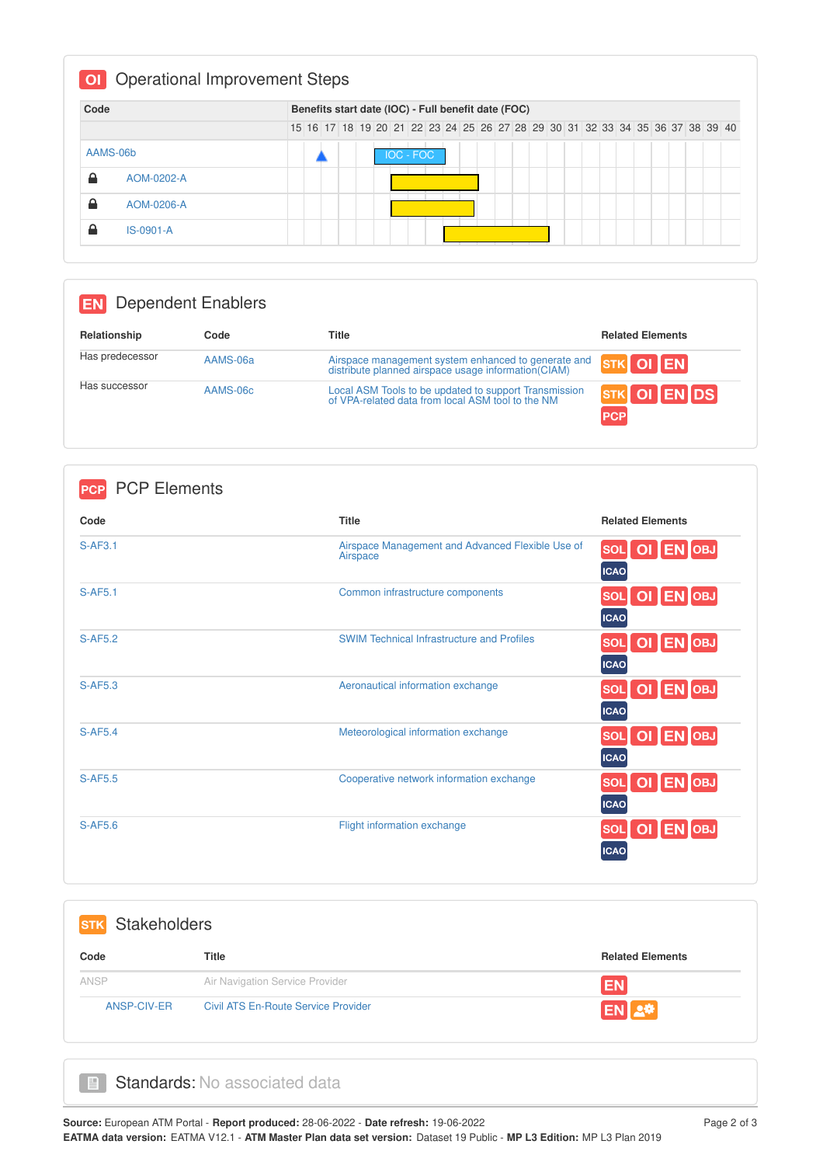| Code     |             |  |  |  | Benefits start date (IOC) - Full benefit date (FOC)                           |  |  |  |  |  |  |  |  |  |
|----------|-------------|--|--|--|-------------------------------------------------------------------------------|--|--|--|--|--|--|--|--|--|
|          |             |  |  |  | 15 16 17 18 19 20 21 22 23 24 25 26 27 28 29 30 31 32 33 34 35 36 37 38 39 40 |  |  |  |  |  |  |  |  |  |
| AAMS-06b |             |  |  |  | <b>IOC - FOC</b>                                                              |  |  |  |  |  |  |  |  |  |
| ≙        | AOM-0202-A  |  |  |  |                                                                               |  |  |  |  |  |  |  |  |  |
| ≙        | AOM-0206-A  |  |  |  |                                                                               |  |  |  |  |  |  |  |  |  |
| ≏        | $IS-0901-A$ |  |  |  |                                                                               |  |  |  |  |  |  |  |  |  |

## **EN** Dependent Enablers

| Relationship    | Code     | Title                                                                                                      | <b>Related Elements</b>                           |
|-----------------|----------|------------------------------------------------------------------------------------------------------------|---------------------------------------------------|
| Has predecessor | AAMS-06a | Airspace management system enhanced to generate and<br>distribute planned airspace usage information(CIAM) | $\overline{\text{srk}}$ OI $\overline{\text{EN}}$ |
| Has successor   | AAMS-06c | Local ASM Tools to be updated to support Transmission<br>of VPA-related data from local ASM tool to the NM | STK OI EN DS<br><b>PCP</b>                        |

| <b>PCP Elements</b><br><b>PCP</b> |                                                              |                                        |
|-----------------------------------|--------------------------------------------------------------|----------------------------------------|
| Code                              | <b>Title</b>                                                 | <b>Related Elements</b>                |
| $S-AF3.1$                         | Airspace Management and Advanced Flexible Use of<br>Airspace | SOL OI EN OBJ<br><b>ICAO</b>           |
| <b>S-AF5.1</b>                    | Common infrastructure components                             | OI EN OBJ<br><b>SOL</b><br><b>ICAO</b> |
| <b>S-AF5.2</b>                    | <b>SWIM Technical Infrastructure and Profiles</b>            | OI EN OBJ<br><b>SOL</b><br><b>ICAO</b> |
| <b>S-AF5.3</b>                    | Aeronautical information exchange                            | OI EN OBJ<br><b>SOL</b><br><b>ICAO</b> |
| <b>S-AF5.4</b>                    | Meteorological information exchange                          | OI EN OBJ<br><b>SOL</b><br><b>ICAO</b> |
| <b>S-AF5.5</b>                    | Cooperative network information exchange                     | OI EN OBJ<br><b>SOL</b><br><b>ICAO</b> |
| <b>S-AF5.6</b>                    | Flight information exchange                                  | OI EN OBJ<br><b>SOL</b><br><b>ICAO</b> |

| <b>Stakeholders</b><br><b>STK</b> |                                            |                         |
|-----------------------------------|--------------------------------------------|-------------------------|
| Code                              | <b>Title</b>                               | <b>Related Elements</b> |
| ANSP                              | Air Navigation Service Provider            | <b>EN</b>               |
| ANSP-CIV-ER                       | <b>Civil ATS En-Route Service Provider</b> | EN <b>A</b>             |

## Standards: No associated data

 $\Box$ 

**Source:** European ATM Portal - **Report produced:** 28-06-2022 - **Date refresh:** 19-06-2022 Page 2 of 3 **EATMA data version:** EATMA V12.1 - **ATM Master Plan data set version:** Dataset 19 Public - **MP L3 Edition:** MP L3 Plan 2019